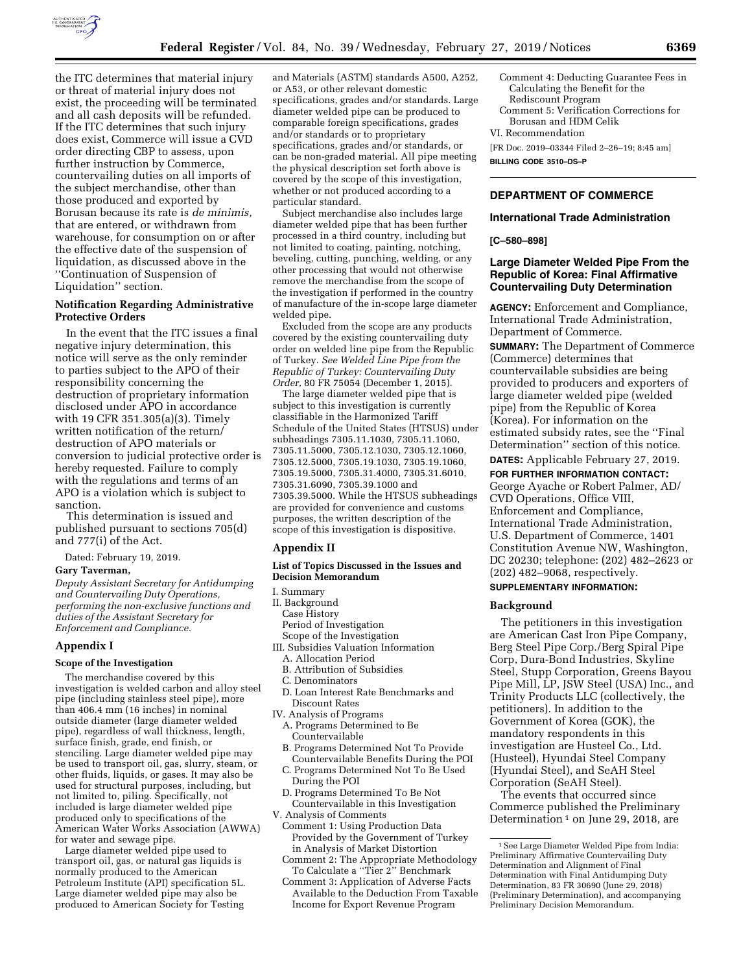

the ITC determines that material injury or threat of material injury does not exist, the proceeding will be terminated and all cash deposits will be refunded. If the ITC determines that such injury does exist, Commerce will issue a CVD order directing CBP to assess, upon further instruction by Commerce, countervailing duties on all imports of the subject merchandise, other than those produced and exported by Borusan because its rate is *de minimis,*  that are entered, or withdrawn from warehouse, for consumption on or after the effective date of the suspension of liquidation, as discussed above in the ''Continuation of Suspension of Liquidation'' section.

## **Notification Regarding Administrative Protective Orders**

In the event that the ITC issues a final negative injury determination, this notice will serve as the only reminder to parties subject to the APO of their responsibility concerning the destruction of proprietary information disclosed under APO in accordance with 19 CFR 351.305(a)(3). Timely written notification of the return/ destruction of APO materials or conversion to judicial protective order is hereby requested. Failure to comply with the regulations and terms of an APO is a violation which is subject to sanction.

This determination is issued and published pursuant to sections 705(d) and 777(i) of the Act.

Dated: February 19, 2019.

#### **Gary Taverman,**

*Deputy Assistant Secretary for Antidumping and Countervailing Duty Operations, performing the non-exclusive functions and duties of the Assistant Secretary for Enforcement and Compliance.* 

### **Appendix I**

#### **Scope of the Investigation**

The merchandise covered by this investigation is welded carbon and alloy steel pipe (including stainless steel pipe), more than 406.4 mm (16 inches) in nominal outside diameter (large diameter welded pipe), regardless of wall thickness, length, surface finish, grade, end finish, or stenciling. Large diameter welded pipe may be used to transport oil, gas, slurry, steam, or other fluids, liquids, or gases. It may also be used for structural purposes, including, but not limited to, piling. Specifically, not included is large diameter welded pipe produced only to specifications of the American Water Works Association (AWWA) for water and sewage pipe.

Large diameter welded pipe used to transport oil, gas, or natural gas liquids is normally produced to the American Petroleum Institute (API) specification 5L. Large diameter welded pipe may also be produced to American Society for Testing

and Materials (ASTM) standards A500, A252, or A53, or other relevant domestic specifications, grades and/or standards. Large diameter welded pipe can be produced to comparable foreign specifications, grades and/or standards or to proprietary specifications, grades and/or standards, or can be non-graded material. All pipe meeting the physical description set forth above is covered by the scope of this investigation, whether or not produced according to a particular standard.

Subject merchandise also includes large diameter welded pipe that has been further processed in a third country, including but not limited to coating, painting, notching, beveling, cutting, punching, welding, or any other processing that would not otherwise remove the merchandise from the scope of the investigation if performed in the country of manufacture of the in-scope large diameter welded pipe.

Excluded from the scope are any products covered by the existing countervailing duty order on welded line pipe from the Republic of Turkey. *See Welded Line Pipe from the Republic of Turkey: Countervailing Duty Order,* 80 FR 75054 (December 1, 2015).

The large diameter welded pipe that is subject to this investigation is currently classifiable in the Harmonized Tariff Schedule of the United States (HTSUS) under subheadings 7305.11.1030, 7305.11.1060, 7305.11.5000, 7305.12.1030, 7305.12.1060, 7305.12.5000, 7305.19.1030, 7305.19.1060, 7305.19.5000, 7305.31.4000, 7305.31.6010, 7305.31.6090, 7305.39.1000 and 7305.39.5000. While the HTSUS subheadings are provided for convenience and customs purposes, the written description of the scope of this investigation is dispositive.

#### **Appendix II**

### **List of Topics Discussed in the Issues and Decision Memorandum**

#### I. Summary

- II. Background
- Case History
- Period of Investigation
- Scope of the Investigation
- III. Subsidies Valuation Information
	- A. Allocation Period B. Attribution of Subsidies
	- C. Denominators
	- D. Loan Interest Rate Benchmarks and Discount Rates
- IV. Analysis of Programs
	- A. Programs Determined to Be Countervailable
	- B. Programs Determined Not To Provide Countervailable Benefits During the POI
	- C. Programs Determined Not To Be Used During the POI
- D. Programs Determined To Be Not Countervailable in this Investigation V. Analysis of Comments
	- Comment 1: Using Production Data Provided by the Government of Turkey in Analysis of Market Distortion
	- Comment 2: The Appropriate Methodology To Calculate a ''Tier 2'' Benchmark
	- Comment 3: Application of Adverse Facts Available to the Deduction From Taxable Income for Export Revenue Program

Comment 4: Deducting Guarantee Fees in Calculating the Benefit for the Rediscount Program Comment 5: Verification Corrections for Borusan and HDM Celik VI. Recommendation

[FR Doc. 2019–03344 Filed 2–26–19; 8:45 am] **BILLING CODE 3510–DS–P** 

# **DEPARTMENT OF COMMERCE**

#### **International Trade Administration**

### **[C–580–898]**

# **Large Diameter Welded Pipe From the Republic of Korea: Final Affirmative Countervailing Duty Determination**

**AGENCY:** Enforcement and Compliance, International Trade Administration, Department of Commerce.

**SUMMARY:** The Department of Commerce (Commerce) determines that countervailable subsidies are being provided to producers and exporters of large diameter welded pipe (welded pipe) from the Republic of Korea (Korea). For information on the estimated subsidy rates, see the ''Final Determination'' section of this notice.

**DATES:** Applicable February 27, 2019.

**FOR FURTHER INFORMATION CONTACT:**  George Ayache or Robert Palmer, AD/ CVD Operations, Office VIII, Enforcement and Compliance, International Trade Administration, U.S. Department of Commerce, 1401 Constitution Avenue NW, Washington, DC 20230; telephone: (202) 482–2623 or (202) 482–9068, respectively.

## **SUPPLEMENTARY INFORMATION:**

#### **Background**

The petitioners in this investigation are American Cast Iron Pipe Company, Berg Steel Pipe Corp./Berg Spiral Pipe Corp, Dura-Bond Industries, Skyline Steel, Stupp Corporation, Greens Bayou Pipe Mill, LP, JSW Steel (USA) Inc., and Trinity Products LLC (collectively, the petitioners). In addition to the Government of Korea (GOK), the mandatory respondents in this investigation are Husteel Co., Ltd. (Husteel), Hyundai Steel Company (Hyundai Steel), and SeAH Steel Corporation (SeAH Steel).

The events that occurred since Commerce published the Preliminary Determination  $1$  on June 29, 2018, are

<sup>1</sup>See Large Diameter Welded Pipe from India: Preliminary Affirmative Countervailing Duty Determination and Alignment of Final Determination with Final Antidumping Duty Determination, 83 FR 30690 (June 29, 2018) (Preliminary Determination), and accompanying Preliminary Decision Memorandum.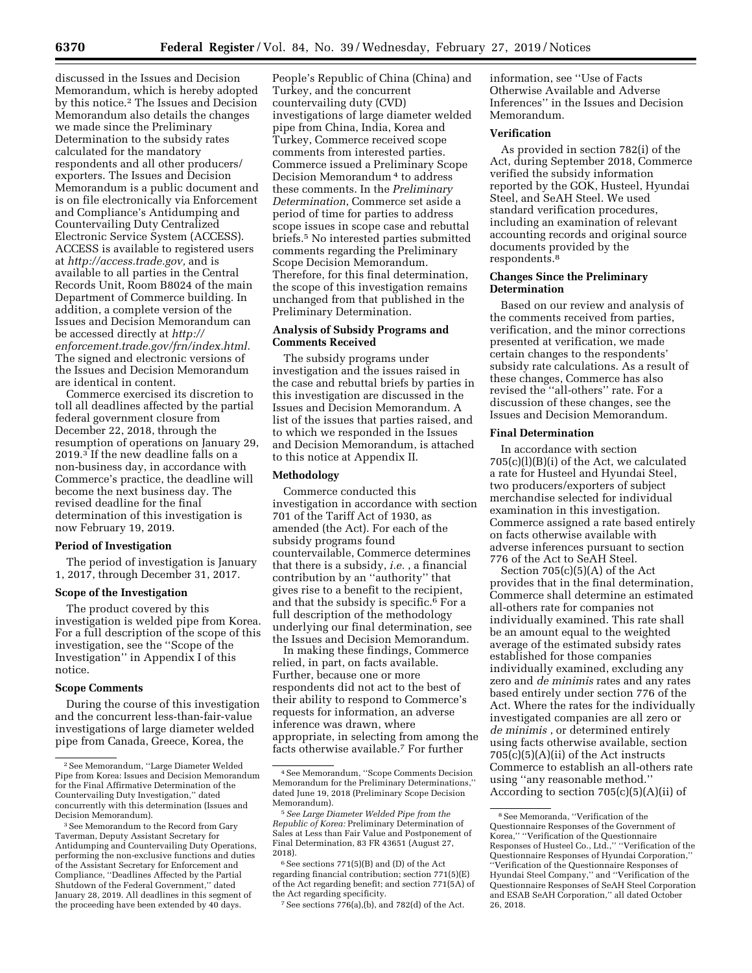discussed in the Issues and Decision Memorandum, which is hereby adopted by this notice.2 The Issues and Decision Memorandum also details the changes we made since the Preliminary Determination to the subsidy rates calculated for the mandatory respondents and all other producers/ exporters. The Issues and Decision Memorandum is a public document and is on file electronically via Enforcement and Compliance's Antidumping and Countervailing Duty Centralized Electronic Service System (ACCESS). ACCESS is available to registered users at *[http://access.trade.gov,](http://access.trade.gov)* and is available to all parties in the Central Records Unit, Room B8024 of the main Department of Commerce building. In addition, a complete version of the Issues and Decision Memorandum can be accessed directly at *[http://](http://enforcement.trade.gov/frn/index.html) [enforcement.trade.gov/frn/index.html.](http://enforcement.trade.gov/frn/index.html)*  The signed and electronic versions of the Issues and Decision Memorandum are identical in content.

Commerce exercised its discretion to toll all deadlines affected by the partial federal government closure from December 22, 2018, through the resumption of operations on January 29, 2019.3 If the new deadline falls on a non-business day, in accordance with Commerce's practice, the deadline will become the next business day. The revised deadline for the final determination of this investigation is now February 19, 2019.

#### **Period of Investigation**

The period of investigation is January 1, 2017, through December 31, 2017.

## **Scope of the Investigation**

The product covered by this investigation is welded pipe from Korea. For a full description of the scope of this investigation, see the ''Scope of the Investigation'' in Appendix I of this notice.

### **Scope Comments**

During the course of this investigation and the concurrent less-than-fair-value investigations of large diameter welded pipe from Canada, Greece, Korea, the

People's Republic of China (China) and Turkey, and the concurrent countervailing duty (CVD) investigations of large diameter welded pipe from China, India, Korea and Turkey, Commerce received scope comments from interested parties. Commerce issued a Preliminary Scope Decision Memorandum 4 to address these comments. In the *Preliminary Determination*, Commerce set aside a period of time for parties to address scope issues in scope case and rebuttal briefs.5 No interested parties submitted comments regarding the Preliminary Scope Decision Memorandum. Therefore, for this final determination, the scope of this investigation remains unchanged from that published in the Preliminary Determination.

# **Analysis of Subsidy Programs and Comments Received**

The subsidy programs under investigation and the issues raised in the case and rebuttal briefs by parties in this investigation are discussed in the Issues and Decision Memorandum. A list of the issues that parties raised, and to which we responded in the Issues and Decision Memorandum, is attached to this notice at Appendix II.

#### **Methodology**

Commerce conducted this investigation in accordance with section 701 of the Tariff Act of 1930, as amended (the Act). For each of the subsidy programs found countervailable, Commerce determines that there is a subsidy, *i.e.* , a financial contribution by an ''authority'' that gives rise to a benefit to the recipient, and that the subsidy is specific.6 For a full description of the methodology underlying our final determination, see the Issues and Decision Memorandum.

In making these findings, Commerce relied, in part, on facts available. Further, because one or more respondents did not act to the best of their ability to respond to Commerce's requests for information, an adverse inference was drawn, where appropriate, in selecting from among the facts otherwise available.7 For further

information, see ''Use of Facts Otherwise Available and Adverse Inferences'' in the Issues and Decision Memorandum.

# **Verification**

As provided in section 782(i) of the Act, during September 2018, Commerce verified the subsidy information reported by the GOK, Husteel, Hyundai Steel, and SeAH Steel. We used standard verification procedures, including an examination of relevant accounting records and original source documents provided by the respondents.8

### **Changes Since the Preliminary Determination**

Based on our review and analysis of the comments received from parties, verification, and the minor corrections presented at verification, we made certain changes to the respondents' subsidy rate calculations. As a result of these changes, Commerce has also revised the ''all-others'' rate. For a discussion of these changes, see the Issues and Decision Memorandum.

#### **Final Determination**

In accordance with section  $705(c)(l)(B)(i)$  of the Act, we calculated a rate for Husteel and Hyundai Steel, two producers/exporters of subject merchandise selected for individual examination in this investigation. Commerce assigned a rate based entirely on facts otherwise available with adverse inferences pursuant to section 776 of the Act to SeAH Steel.

Section 705(c)(5)(A) of the Act provides that in the final determination, Commerce shall determine an estimated all-others rate for companies not individually examined. This rate shall be an amount equal to the weighted average of the estimated subsidy rates established for those companies individually examined, excluding any zero and *de minimis* rates and any rates based entirely under section 776 of the Act. Where the rates for the individually investigated companies are all zero or *de minimis* , or determined entirely using facts otherwise available, section 705(c)(5)(A)(ii) of the Act instructs Commerce to establish an all-others rate using ''any reasonable method.'' According to section  $705(c)(5)(A)(ii)$  of

<sup>2</sup>See Memorandum, ''Large Diameter Welded Pipe from Korea: Issues and Decision Memorandum for the Final Affirmative Determination of the Countervailing Duty Investigation,'' dated concurrently with this determination (Issues and Decision Memorandum).

<sup>&</sup>lt;sup>3</sup> See Memorandum to the Record from Gary Taverman, Deputy Assistant Secretary for Antidumping and Countervailing Duty Operations, performing the non-exclusive functions and duties of the Assistant Secretary for Enforcement and Compliance, ''Deadlines Affected by the Partial Shutdown of the Federal Government,'' dated January 28, 2019. All deadlines in this segment of the proceeding have been extended by 40 days.

<sup>4</sup>See Memorandum, ''Scope Comments Decision Memorandum for the Preliminary Determinations,'' dated June 19, 2018 (Preliminary Scope Decision Memorandum).

<sup>5</sup>*See Large Diameter Welded Pipe from the Republic of Korea:* Preliminary Determination of Sales at Less than Fair Value and Postponement of Final Determination, 83 FR 43651 (August 27, 2018).

<sup>6</sup>See sections 771(5)(B) and (D) of the Act regarding financial contribution; section 771(5)(E) of the Act regarding benefit; and section 771(5A) of the Act regarding specificity.

<sup>7</sup>See sections 776(a),(b), and 782(d) of the Act.

<sup>8</sup>See Memoranda, ''Verification of the Questionnaire Responses of the Government of Korea,'' ''Verification of the Questionnaire Responses of Husteel Co., Ltd.,'' ''Verification of the Questionnaire Responses of Hyundai Corporation, ''Verification of the Questionnaire Responses of Hyundai Steel Company,'' and ''Verification of the Questionnaire Responses of SeAH Steel Corporation and ESAB SeAH Corporation,'' all dated October 26, 2018.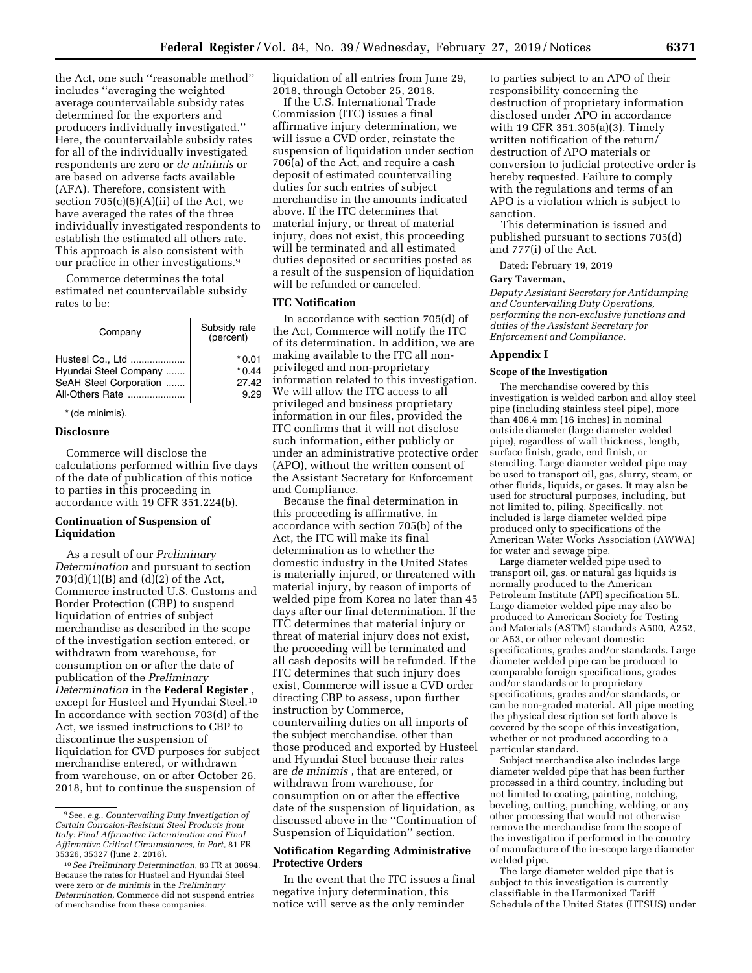the Act, one such ''reasonable method'' includes ''averaging the weighted average countervailable subsidy rates determined for the exporters and producers individually investigated.'' Here, the countervailable subsidy rates for all of the individually investigated respondents are zero or *de minimis* or are based on adverse facts available (AFA). Therefore, consistent with section  $705(c)(5)(A)(ii)$  of the Act, we have averaged the rates of the three individually investigated respondents to establish the estimated all others rate. This approach is also consistent with our practice in other investigations.9

Commerce determines the total estimated net countervailable subsidy rates to be:

| Company                                   | Subsidy rate<br>(percent) |
|-------------------------------------------|---------------------------|
| Husteel Co., Ltd<br>Hyundai Steel Company | * 0.01<br>$*0.44$         |
| SeAH Steel Corporation                    | 27.42                     |
| All-Others Rate                           | 9.29                      |

\* (de minimis).

# **Disclosure**

Commerce will disclose the calculations performed within five days of the date of publication of this notice to parties in this proceeding in accordance with 19 CFR 351.224(b).

## **Continuation of Suspension of Liquidation**

As a result of our *Preliminary Determination* and pursuant to section  $703(d)(1)(B)$  and  $(d)(2)$  of the Act, Commerce instructed U.S. Customs and Border Protection (CBP) to suspend liquidation of entries of subject merchandise as described in the scope of the investigation section entered, or withdrawn from warehouse, for consumption on or after the date of publication of the *Preliminary Determination* in the **Federal Register** , except for Husteel and Hyundai Steel.10 In accordance with section 703(d) of the Act, we issued instructions to CBP to discontinue the suspension of liquidation for CVD purposes for subject merchandise entered, or withdrawn from warehouse, on or after October 26, 2018, but to continue the suspension of

liquidation of all entries from June 29, 2018, through October 25, 2018.

If the U.S. International Trade Commission (ITC) issues a final affirmative injury determination, we will issue a CVD order, reinstate the suspension of liquidation under section 706(a) of the Act, and require a cash deposit of estimated countervailing duties for such entries of subject merchandise in the amounts indicated above. If the ITC determines that material injury, or threat of material injury, does not exist, this proceeding will be terminated and all estimated duties deposited or securities posted as a result of the suspension of liquidation will be refunded or canceled.

# **ITC Notification**

In accordance with section 705(d) of the Act, Commerce will notify the ITC of its determination. In addition, we are making available to the ITC all nonprivileged and non-proprietary information related to this investigation. We will allow the ITC access to all privileged and business proprietary information in our files, provided the ITC confirms that it will not disclose such information, either publicly or under an administrative protective order (APO), without the written consent of the Assistant Secretary for Enforcement and Compliance.

Because the final determination in this proceeding is affirmative, in accordance with section 705(b) of the Act, the ITC will make its final determination as to whether the domestic industry in the United States is materially injured, or threatened with material injury, by reason of imports of welded pipe from Korea no later than 45 days after our final determination. If the ITC determines that material injury or threat of material injury does not exist, the proceeding will be terminated and all cash deposits will be refunded. If the ITC determines that such injury does exist, Commerce will issue a CVD order directing CBP to assess, upon further instruction by Commerce, countervailing duties on all imports of the subject merchandise, other than those produced and exported by Husteel and Hyundai Steel because their rates are *de minimis* , that are entered, or withdrawn from warehouse, for consumption on or after the effective date of the suspension of liquidation, as discussed above in the ''Continuation of Suspension of Liquidation'' section.

## **Notification Regarding Administrative Protective Orders**

In the event that the ITC issues a final negative injury determination, this notice will serve as the only reminder

to parties subject to an APO of their responsibility concerning the destruction of proprietary information disclosed under APO in accordance with 19 CFR 351.305(a)(3). Timely written notification of the return/ destruction of APO materials or conversion to judicial protective order is hereby requested. Failure to comply with the regulations and terms of an APO is a violation which is subject to sanction.

This determination is issued and published pursuant to sections 705(d) and 777(i) of the Act.

Dated: February 19, 2019

# **Gary Taverman,**

*Deputy Assistant Secretary for Antidumping and Countervailing Duty Operations, performing the non-exclusive functions and duties of the Assistant Secretary for Enforcement and Compliance.* 

#### **Appendix I**

### **Scope of the Investigation**

The merchandise covered by this investigation is welded carbon and alloy steel pipe (including stainless steel pipe), more than 406.4 mm (16 inches) in nominal outside diameter (large diameter welded pipe), regardless of wall thickness, length, surface finish, grade, end finish, or stenciling. Large diameter welded pipe may be used to transport oil, gas, slurry, steam, or other fluids, liquids, or gases. It may also be used for structural purposes, including, but not limited to, piling. Specifically, not included is large diameter welded pipe produced only to specifications of the American Water Works Association (AWWA) for water and sewage pipe.

Large diameter welded pipe used to transport oil, gas, or natural gas liquids is normally produced to the American Petroleum Institute (API) specification 5L. Large diameter welded pipe may also be produced to American Society for Testing and Materials (ASTM) standards A500, A252, or A53, or other relevant domestic specifications, grades and/or standards. Large diameter welded pipe can be produced to comparable foreign specifications, grades and/or standards or to proprietary specifications, grades and/or standards, or can be non-graded material. All pipe meeting the physical description set forth above is covered by the scope of this investigation, whether or not produced according to a particular standard.

Subject merchandise also includes large diameter welded pipe that has been further processed in a third country, including but not limited to coating, painting, notching, beveling, cutting, punching, welding, or any other processing that would not otherwise remove the merchandise from the scope of the investigation if performed in the country of manufacture of the in-scope large diameter welded pipe.

The large diameter welded pipe that is subject to this investigation is currently classifiable in the Harmonized Tariff Schedule of the United States (HTSUS) under

<sup>9</sup>See, *e.g., Countervailing Duty Investigation of Certain Corrosion-Resistant Steel Products from Italy: Final Affirmative Determination and Final Affirmative Critical Circumstances, in Part,* 81 FR 35326, 35327 (June 2, 2016).

<sup>10</sup>*See Preliminary Determination,* 83 FR at 30694. Because the rates for Husteel and Hyundai Steel were zero or *de minimis* in the *Preliminary Determination,* Commerce did not suspend entries of merchandise from these companies.